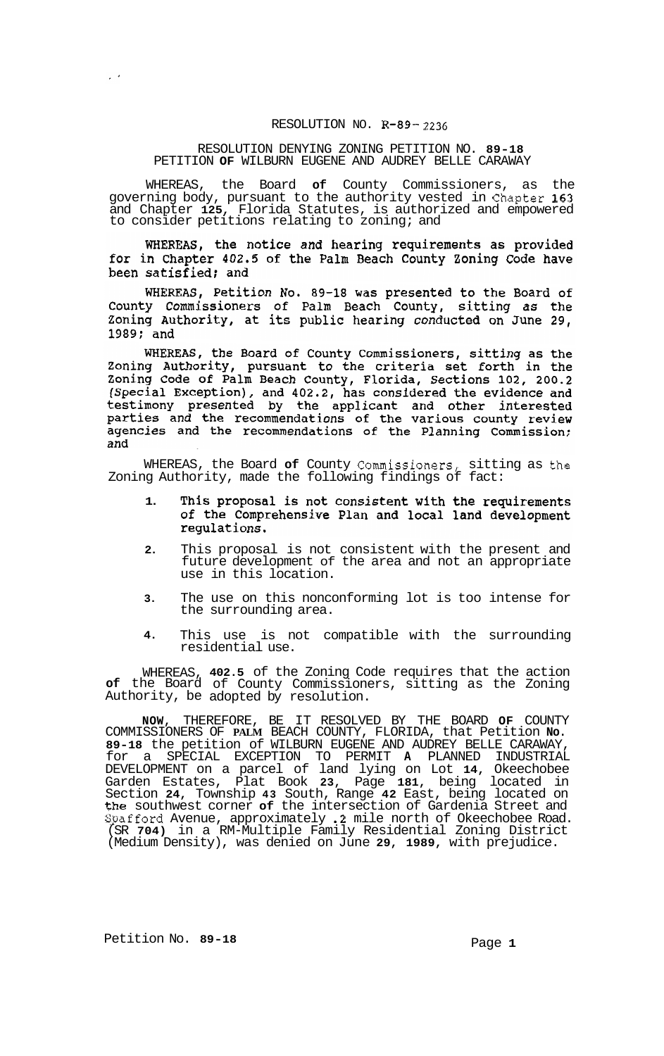## RESOLUTION NO. **R-89-** *2236*

## RESOLUTION DENYING ZONING PETITION NO. **89-18**  PETITION **OF** WILBURN EUGENE AND AUDREY BELLE CARAWAY

WHEREAS, the Board **of** County Commissioners, as the governing body, pursuant to the authority vested in Chapter **163**  and Chapter **125,** Florida Statutes, is authorized and empowered to consider petitions relating to zoning; and

WHEREAS, the notice and hearing requirements as provided for in Chapter 402.5 of the Palm Beach County Zoning Code have been satisfied; and

WHEREAS, Petition No. 89-18 was presented to the Board of County Commissioners of Palm Beach County, sitting as the Zoning Authority, at its public hearing conducted on June 29, 1989; and

WHEREAS, the Board of County Commissioners, sitting as the Zoning Authority, pursuant to the criteria set forth in the Zoning Code of Palm Beach County, Florida, Sections 102, 200.2 (Special Exception), and 402.2, has considered the evidence and testimony presented by the applicant and other interested parties and the recommendations of the various county review agencies and the recommendations of the Planning Commission; and

WHEREAS, the Board **of** County Commissioners, sitting as the Zoning Authority, made the following findings of fact:

- This proposal is not consistent with the requirements **1.**  of the Comprehensive Plan and local land development regulations.
- **2.**  This proposal is not consistent with the present and future development of the area and not an appropriate use in this location.
- **3.**  The use on this nonconforming lot is too intense for the surrounding area.
- **4.**  This use is not compatible with the surrounding residential use.

WHEREAS, **402.5** of the Zoning Code requires that the action **of** the Board of County Commissioners, sitting as the Zoning Authority, be adopted by resolution.

**NOW,** THEREFORE, BE IT RESOLVED BY THE BOARD **OF** COUNTY COMMISSIONERS OF **PALM** BEACH COUNTY, FLORIDA, that Petition **No. 89-18** the petition of WILBURN EUGENE AND AUDREY BELLE CARAWAY, for a SPECIAL EXCEPTION TO PERMIT **A** PLANNED INDUSTRIAL DEVELOPMENT on a parcel of land lying on Lot **14,** Okeechobee Garden Estates, Plat Book **23,** Page **181,** being located in Section **24,** Township **43** South, Range **42** East, being located on the southwest corner **of** the intersection of Gardenia Street and Gpafford Avenue, approximately **.2** mile north of Okeechobee Road. (SR **704)** in a RM-Multiple Family Residential Zoning District (Medium Density), was denied on June **29, 1989,** with prejudice.

 $\mathbb{R}^{\mathbb{Z}^2}$